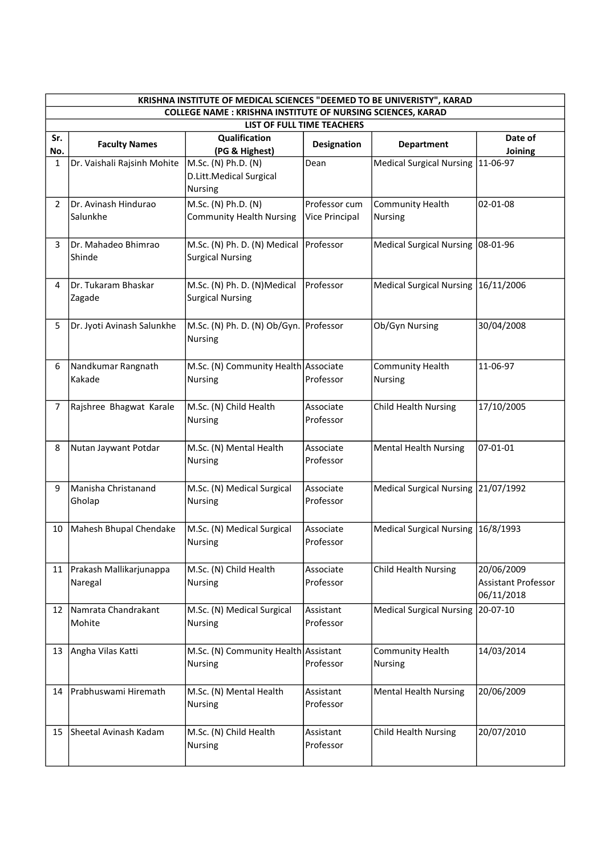| KRISHNA INSTITUTE OF MEDICAL SCIENCES "DEEMED TO BE UNIVERISTY", KARAD<br><b>COLLEGE NAME: KRISHNA INSTITUTE OF NURSING SCIENCES, KARAD</b> |                                    |                                                           |                                 |                                           |                                                 |  |  |  |  |
|---------------------------------------------------------------------------------------------------------------------------------------------|------------------------------------|-----------------------------------------------------------|---------------------------------|-------------------------------------------|-------------------------------------------------|--|--|--|--|
| LIST OF FULL TIME TEACHERS                                                                                                                  |                                    |                                                           |                                 |                                           |                                                 |  |  |  |  |
| Sr.<br>No.                                                                                                                                  | <b>Faculty Names</b>               | Qualification<br>(PG & Highest)                           | <b>Designation</b>              | <b>Department</b>                         | Date of<br>Joining                              |  |  |  |  |
| 1                                                                                                                                           | Dr. Vaishali Rajsinh Mohite        | M.Sc. (N) Ph.D. (N)<br>D.Litt.Medical Surgical<br>Nursing | Dean                            | Medical Surgical Nursing                  | 11-06-97                                        |  |  |  |  |
| 2                                                                                                                                           | Dr. Avinash Hindurao<br>Salunkhe   | M.Sc. (N) Ph.D. (N)<br><b>Community Health Nursing</b>    | Professor cum<br>Vice Principal | <b>Community Health</b><br><b>Nursing</b> | 02-01-08                                        |  |  |  |  |
| 3                                                                                                                                           | Dr. Mahadeo Bhimrao<br>Shinde      | M.Sc. (N) Ph. D. (N) Medical<br><b>Surgical Nursing</b>   | Professor                       | Medical Surgical Nursing   08-01-96       |                                                 |  |  |  |  |
| 4                                                                                                                                           | Dr. Tukaram Bhaskar<br>Zagade      | M.Sc. (N) Ph. D. (N)Medical<br><b>Surgical Nursing</b>    | Professor                       | Medical Surgical Nursing   16/11/2006     |                                                 |  |  |  |  |
| 5                                                                                                                                           | Dr. Jyoti Avinash Salunkhe         | M.Sc. (N) Ph. D. (N) Ob/Gyn. Professor<br><b>Nursing</b>  |                                 | Ob/Gyn Nursing                            | 30/04/2008                                      |  |  |  |  |
| 6                                                                                                                                           | Nandkumar Rangnath<br>Kakade       | M.Sc. (N) Community Health Associate<br><b>Nursing</b>    | Professor                       | Community Health<br><b>Nursing</b>        | 11-06-97                                        |  |  |  |  |
| $\overline{7}$                                                                                                                              | Rajshree Bhagwat Karale            | M.Sc. (N) Child Health<br>Nursing                         | Associate<br>Professor          | <b>Child Health Nursing</b>               | 17/10/2005                                      |  |  |  |  |
| 8                                                                                                                                           | Nutan Jaywant Potdar               | M.Sc. (N) Mental Health<br><b>Nursing</b>                 | Associate<br>Professor          | <b>Mental Health Nursing</b>              | 07-01-01                                        |  |  |  |  |
| 9                                                                                                                                           | Manisha Christanand<br>Gholap      | M.Sc. (N) Medical Surgical<br>Nursing                     | Associate<br>Professor          | Medical Surgical Nursing 21/07/1992       |                                                 |  |  |  |  |
| 10                                                                                                                                          | Mahesh Bhupal Chendake             | M.Sc. (N) Medical Surgical<br>Nursing                     | Associate<br>Professor          | Medical Surgical Nursing   16/8/1993      |                                                 |  |  |  |  |
| 11                                                                                                                                          | Prakash Mallikarjunappa<br>Naregal | M.Sc. (N) Child Health<br><b>Nursing</b>                  | Associate<br>Professor          | <b>Child Health Nursing</b>               | 20/06/2009<br>Assistant Professor<br>06/11/2018 |  |  |  |  |
| 12                                                                                                                                          | Namrata Chandrakant<br>Mohite      | M.Sc. (N) Medical Surgical<br>Nursing                     | Assistant<br>Professor          | Medical Surgical Nursing                  | 20-07-10                                        |  |  |  |  |
| 13                                                                                                                                          | Angha Vilas Katti                  | M.Sc. (N) Community Health Assistant<br>Nursing           | Professor                       | <b>Community Health</b><br><b>Nursing</b> | 14/03/2014                                      |  |  |  |  |
| 14                                                                                                                                          | Prabhuswami Hiremath               | M.Sc. (N) Mental Health<br><b>Nursing</b>                 | Assistant<br>Professor          | <b>Mental Health Nursing</b>              | 20/06/2009                                      |  |  |  |  |
| 15                                                                                                                                          | Sheetal Avinash Kadam              | M.Sc. (N) Child Health<br>Nursing                         | Assistant<br>Professor          | <b>Child Health Nursing</b>               | 20/07/2010                                      |  |  |  |  |